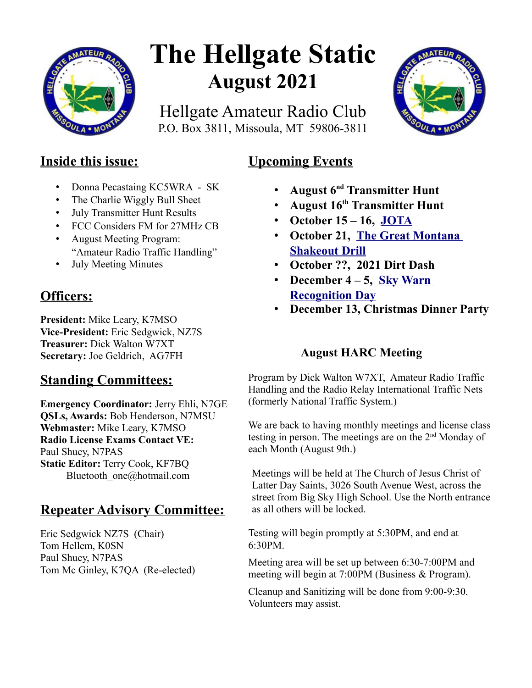

# **The Hellgate Static August 2021**

Hellgate Amateur Radio Club P.O. Box 3811, Missoula, MT 59806-3811



# **Inside this issue:**

- Donna Pecastaing KC5WRA SK
- The Charlie Wiggly Bull Sheet
- July Transmitter Hunt Results
- FCC Considers FM for 27MHz CB
- August Meeting Program: "Amateur Radio Traffic Handling"
- July Meeting Minutes

## **Officers:**

**President:** Mike Leary, K7MSO **Vice-President:** Eric Sedgwick, NZ7S **Treasurer:** Dick Walton W7XT **Secretary:** Joe Geldrich, AG7FH

## **Standing Committees:**

**Emergency Coordinator:** Jerry Ehli, N7GE **QSLs, Awards:** Bob Henderson, N7MSU **Webmaster:** Mike Leary, K7MSO **Radio License Exams Contact VE:** Paul Shuey, N7PAS **Static Editor:** Terry Cook, KF7BQ Bluetooth one@hotmail.com

# **Repeater Advisory Committee:**

Eric Sedgwick NZ7S (Chair) Tom Hellem, K0SN Paul Shuey, N7PAS Tom Mc Ginley, K7QA (Re-elected)

## **Upcoming Events**

- **August 6nd Transmitter Hunt**
- **August 16th Transmitter Hunt**
- **October 15 16, [JOTA](https://www.w7px.org/meetings-and-events/#jota)**
- **October 21, [The Great Montana](https://www.w7px.org/meetings-and-events/#shakeout)  [Shakeout Drill](https://www.w7px.org/meetings-and-events/#shakeout)**
- **October ??, 2021 Dirt Dash**
- **December 4 5, [Sky Warn](http://www.arrl.org/skywarn-recognition-day)  [Recognition Day](http://www.arrl.org/skywarn-recognition-day)**
- **December 13, Christmas Dinner Party**

## **August HARC Meeting**

Program by Dick Walton W7XT, Amateur Radio Traffic Handling and the Radio Relay International Traffic Nets (formerly National Traffic System.)

We are back to having monthly meetings and license class testing in person. The meetings are on the 2nd Monday of each Month (August 9th.)

Meetings will be held at The Church of Jesus Christ of Latter Day Saints, 3026 South Avenue West, across the street from Big Sky High School. Use the North entrance as all others will be locked.

Testing will begin promptly at 5:30PM, and end at 6:30PM.

Meeting area will be set up between 6:30-7:00PM and meeting will begin at 7:00PM (Business & Program).

Cleanup and Sanitizing will be done from 9:00-9:30. Volunteers may assist.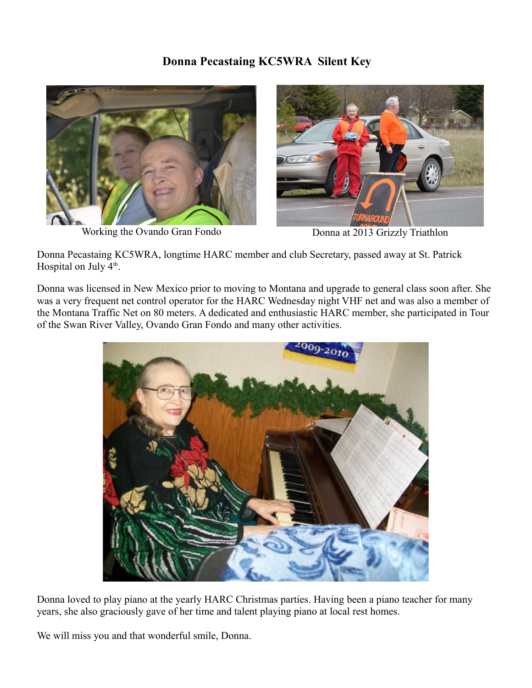#### **Donna Pecastaing KC5WRA Silent Key**



Working the Ovando Gran Fondo Donna at 2013 Grizzly Triathlon



Donna Pecastaing KC5WRA, longtime HARC member and club Secretary, passed away at St. Patrick Hospital on July  $4<sup>th</sup>$ .

Donna was licensed in New Mexico prior to moving to Montana and upgrade to general class soon after. She was a very frequent net control operator for the HARC Wednesday night VHF net and was also a member of the Montana Traffic Net on 80 meters. A dedicated and enthusiastic HARC member, she participated in Tour of the Swan River Valley, Ovando Gran Fondo and many other activities.



Donna loved to play piano at the yearly HARC Christmas parties. Having been a piano teacher for many years, she also graciously gave of her time and talent playing piano at local rest homes.

We will miss you and that wonderful smile, Donna.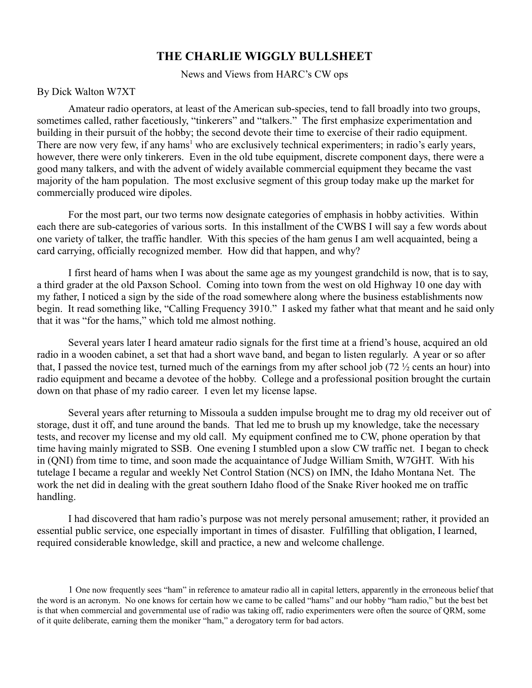#### **THE CHARLIE WIGGLY BULLSHEET**

News and Views from HARC's CW ops

By Dick Walton W7XT

Amateur radio operators, at least of the American sub-species, tend to fall broadly into two groups, sometimes called, rather facetiously, "tinkerers" and "talkers." The first emphasize experimentation and building in their pursuit of the hobby; the second devote their time to exercise of their radio equipment. There are now very few, if any hams<sup>1</sup> who are exclusively technical experimenters; in radio's early years, however, there were only tinkerers. Even in the old tube equipment, discrete component days, there were a good many talkers, and with the advent of widely available commercial equipment they became the vast majority of the ham population. The most exclusive segment of this group today make up the market for commercially produced wire dipoles.

For the most part, our two terms now designate categories of emphasis in hobby activities. Within each there are sub-categories of various sorts. In this installment of the CWBS I will say a few words about one variety of talker, the traffic handler. With this species of the ham genus I am well acquainted, being a card carrying, officially recognized member. How did that happen, and why?

I first heard of hams when I was about the same age as my youngest grandchild is now, that is to say, a third grader at the old Paxson School. Coming into town from the west on old Highway 10 one day with my father, I noticed a sign by the side of the road somewhere along where the business establishments now begin. It read something like, "Calling Frequency 3910." I asked my father what that meant and he said only that it was "for the hams," which told me almost nothing.

Several years later I heard amateur radio signals for the first time at a friend's house, acquired an old radio in a wooden cabinet, a set that had a short wave band, and began to listen regularly. A year or so after that, I passed the novice test, turned much of the earnings from my after school job (72 ½ cents an hour) into radio equipment and became a devotee of the hobby. College and a professional position brought the curtain down on that phase of my radio career. I even let my license lapse.

Several years after returning to Missoula a sudden impulse brought me to drag my old receiver out of storage, dust it off, and tune around the bands. That led me to brush up my knowledge, take the necessary tests, and recover my license and my old call. My equipment confined me to CW, phone operation by that time having mainly migrated to SSB. One evening I stumbled upon a slow CW traffic net. I began to check in (QNI) from time to time, and soon made the acquaintance of Judge William Smith, W7GHT. With his tutelage I became a regular and weekly Net Control Station (NCS) on IMN, the Idaho Montana Net. The work the net did in dealing with the great southern Idaho flood of the Snake River hooked me on traffic handling.

I had discovered that ham radio's purpose was not merely personal amusement; rather, it provided an essential public service, one especially important in times of disaster. Fulfilling that obligation, I learned, required considerable knowledge, skill and practice, a new and welcome challenge.

<sup>1</sup> One now frequently sees "ham" in reference to amateur radio all in capital letters, apparently in the erroneous belief that the word is an acronym. No one knows for certain how we came to be called "hams" and our hobby "ham radio," but the best bet is that when commercial and governmental use of radio was taking off, radio experimenters were often the source of QRM, some of it quite deliberate, earning them the moniker "ham," a derogatory term for bad actors.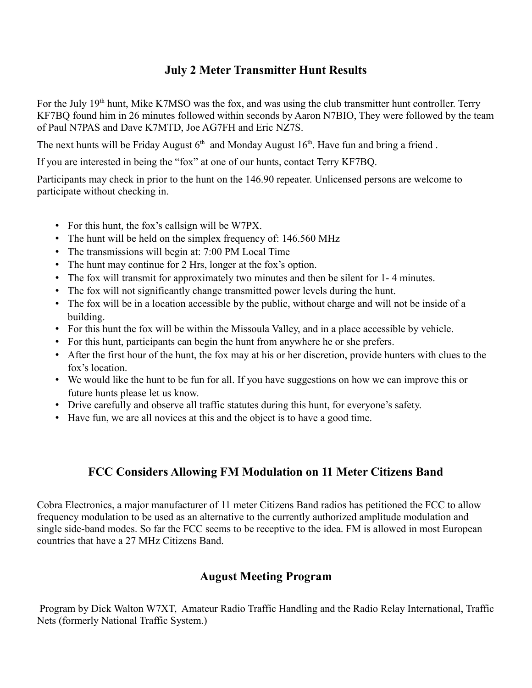#### **July 2 Meter Transmitter Hunt Results**

For the July 19<sup>th</sup> hunt, Mike K7MSO was the fox, and was using the club transmitter hunt controller. Terry KF7BQ found him in 26 minutes followed within seconds by Aaron N7BIO, They were followed by the team of Paul N7PAS and Dave K7MTD, Joe AG7FH and Eric NZ7S.

The next hunts will be Friday August  $6<sup>th</sup>$  and Monday August  $16<sup>th</sup>$ . Have fun and bring a friend.

If you are interested in being the "fox" at one of our hunts, contact Terry KF7BQ.

Participants may check in prior to the hunt on the 146.90 repeater. Unlicensed persons are welcome to participate without checking in.

- For this hunt, the fox's callsign will be W7PX.
- The hunt will be held on the simplex frequency of: 146.560 MHz
- The transmissions will begin at: 7:00 PM Local Time
- The hunt may continue for 2 Hrs, longer at the fox's option.
- The fox will transmit for approximately two minutes and then be silent for 1- 4 minutes.
- The fox will not significantly change transmitted power levels during the hunt.
- The fox will be in a location accessible by the public, without charge and will not be inside of a building.
- For this hunt the fox will be within the Missoula Valley, and in a place accessible by vehicle.
- For this hunt, participants can begin the hunt from anywhere he or she prefers.
- After the first hour of the hunt, the fox may at his or her discretion, provide hunters with clues to the fox's location.
- We would like the hunt to be fun for all. If you have suggestions on how we can improve this or future hunts please let us know.
- Drive carefully and observe all traffic statutes during this hunt, for everyone's safety.
- Have fun, we are all novices at this and the object is to have a good time.

## **FCC Considers Allowing FM Modulation on 11 Meter Citizens Band**

Cobra Electronics, a major manufacturer of 11 meter Citizens Band radios has petitioned the FCC to allow frequency modulation to be used as an alternative to the currently authorized amplitude modulation and single side-band modes. So far the FCC seems to be receptive to the idea. FM is allowed in most European countries that have a 27 MHz Citizens Band.

## **August Meeting Program**

 Program by Dick Walton W7XT, Amateur Radio Traffic Handling and the Radio Relay International, Traffic Nets (formerly National Traffic System.)